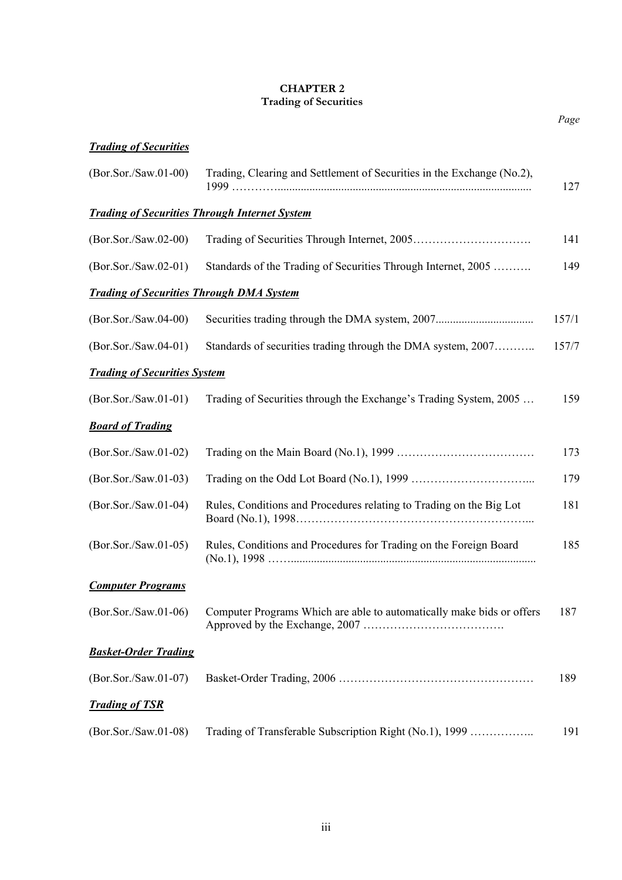## **CHAPTER 2 Trading of Securities**

*Page*

| <b>Trading of Securities</b>                         |                                                                                                |       |  |  |
|------------------------------------------------------|------------------------------------------------------------------------------------------------|-------|--|--|
| (Bor.Sor./Saw.01-00)                                 | Trading, Clearing and Settlement of Securities in the Exchange (No.2),                         | 127   |  |  |
| <b>Trading of Securities Through Internet System</b> |                                                                                                |       |  |  |
| $(Bor.Sor./Saw.02-00)$                               |                                                                                                | 141   |  |  |
| (Bor.Sor./Saw.02-01)                                 | Standards of the Trading of Securities Through Internet, 2005                                  | 149   |  |  |
| <b>Trading of Securities Through DMA System</b>      |                                                                                                |       |  |  |
| (Bor.Sor./Saw.04-00)                                 |                                                                                                | 157/1 |  |  |
| (Bor.Sor./Saw.04-01)                                 | Standards of securities trading through the DMA system, 2007                                   | 157/7 |  |  |
| <b>Trading of Securities System</b>                  |                                                                                                |       |  |  |
| $(Bor.Sor./Saw.01-01)$                               | Trading of Securities through the Exchange's Trading System, 2005                              | 159   |  |  |
| <b>Board of Trading</b>                              |                                                                                                |       |  |  |
| $(Bor.Sor./Saw.01-02)$                               |                                                                                                | 173   |  |  |
| (Bor.Sor./Saw.01-03)                                 |                                                                                                | 179   |  |  |
| (Bor.Sor./Saw.01-04)                                 | Rules, Conditions and Procedures relating to Trading on the Big Lot                            | 181   |  |  |
| $(Bor.Sor./Saw.01-05)$                               | Rules, Conditions and Procedures for Trading on the Foreign Board<br>(N <sub>0.1</sub> ), 1998 | 185   |  |  |
| <b>Computer Programs</b>                             |                                                                                                |       |  |  |
| $(Bor.Sor./Saw.01-06)$                               | Computer Programs Which are able to automatically make bids or offers                          | 187   |  |  |
| <b>Basket-Order Trading</b>                          |                                                                                                |       |  |  |
| $(Bor.Sor./Saw.01-07)$                               |                                                                                                | 189   |  |  |
| <b>Trading of TSR</b>                                |                                                                                                |       |  |  |
| $(Bor.Sor./Saw.01-08)$                               | Trading of Transferable Subscription Right (No.1), 1999                                        | 191   |  |  |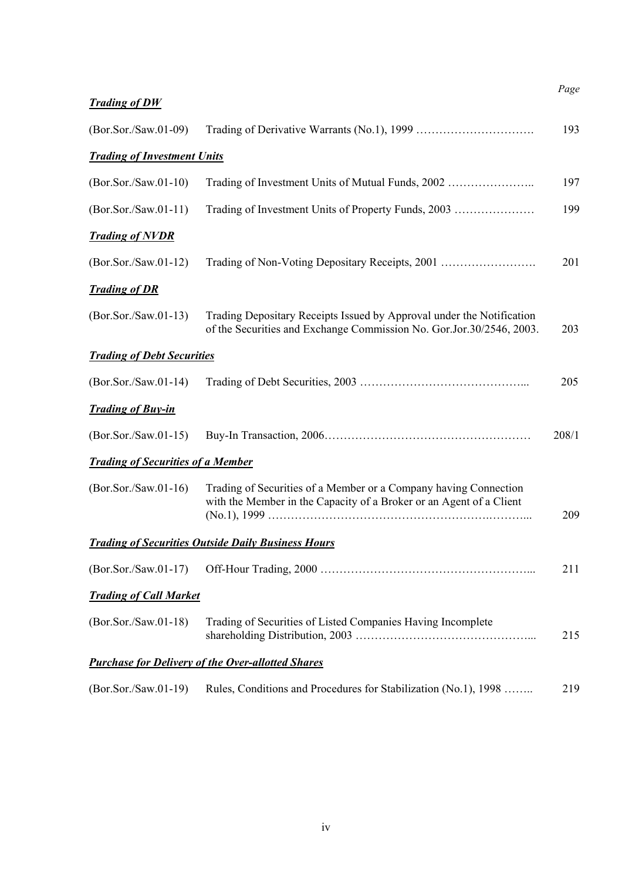| <b>Trading of DW</b>                     |                                                                                                                                               | Page  |
|------------------------------------------|-----------------------------------------------------------------------------------------------------------------------------------------------|-------|
| $(Bor.Sor./Saw.01-09)$                   |                                                                                                                                               | 193   |
| <b>Trading of Investment Units</b>       |                                                                                                                                               |       |
| $(Bor.Sor./Saw.01-10)$                   | Trading of Investment Units of Mutual Funds, 2002                                                                                             | 197   |
| $(Bor.Sor./Saw.01-11)$                   | Trading of Investment Units of Property Funds, 2003                                                                                           | 199   |
| <b>Trading of NVDR</b>                   |                                                                                                                                               |       |
| $(Bor.Sor./Saw.01-12)$                   | Trading of Non-Voting Depositary Receipts, 2001                                                                                               | 201   |
| <b>Trading of DR</b>                     |                                                                                                                                               |       |
| $(Bor.Sor./Saw.01-13)$                   | Trading Depositary Receipts Issued by Approval under the Notification<br>of the Securities and Exchange Commission No. Gor.Jor.30/2546, 2003. | 203   |
| <b>Trading of Debt Securities</b>        |                                                                                                                                               |       |
| $(Bor.Sor./Saw.01-14)$                   |                                                                                                                                               | 205   |
| <b>Trading of Buy-in</b>                 |                                                                                                                                               |       |
| $(Bor.Sor./Saw.01-15)$                   |                                                                                                                                               | 208/1 |
| <b>Trading of Securities of a Member</b> |                                                                                                                                               |       |
| $(Bor.Sor./Saw.01-16)$                   | Trading of Securities of a Member or a Company having Connection<br>with the Member in the Capacity of a Broker or an Agent of a Client       | 209   |
|                                          | <b>Trading of Securities Outside Daily Business Hours</b>                                                                                     |       |
| $(Bor.Sor./Saw.01-17)$                   |                                                                                                                                               | 211   |
| <b>Trading of Call Market</b>            |                                                                                                                                               |       |
| $(Bor.Sor./Saw.01-18)$                   | Trading of Securities of Listed Companies Having Incomplete                                                                                   | 215   |
|                                          | <b>Purchase for Delivery of the Over-allotted Shares</b>                                                                                      |       |
| $(Bor.Sor./Saw.01-19)$                   | Rules, Conditions and Procedures for Stabilization (No.1), 1998                                                                               | 219   |

iv